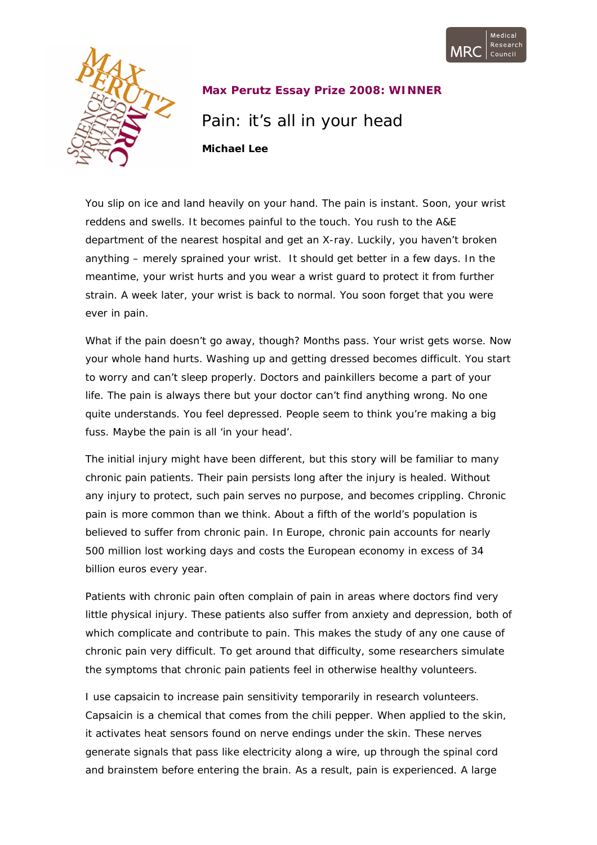



# **Max Perutz Essay Prize 2008: WINNER**  Pain: it's all in your head **Michael Lee**

You slip on ice and land heavily on your hand. The pain is instant. Soon, your wrist reddens and swells. It becomes painful to the touch. You rush to the A&E department of the nearest hospital and get an X-ray. Luckily, you haven't broken anything – merely sprained your wrist. It should get better in a few days. In the meantime, your wrist hurts and you wear a wrist guard to protect it from further strain. A week later, your wrist is back to normal. You soon forget that you were ever in pain.

What if the pain doesn't go away, though? Months pass. Your wrist gets worse. Now your whole hand hurts. Washing up and getting dressed becomes difficult. You start to worry and can't sleep properly. Doctors and painkillers become a part of your life. The pain is always there but your doctor can't find anything wrong. No one quite understands. You feel depressed. People seem to think you're making a big fuss. Maybe the pain is all 'in your head'.

The initial injury might have been different, but this story will be familiar to many chronic pain patients. Their pain persists long after the injury is healed. Without any injury to protect, such pain serves no purpose, and becomes crippling. Chronic pain is more common than we think. About a fifth of the world's population is believed to suffer from chronic pain. In Europe, chronic pain accounts for nearly 500 million lost working days and costs the European economy in excess of 34 billion euros every year.

Patients with chronic pain often complain of pain in areas where doctors find very little physical injury. These patients also suffer from anxiety and depression, both of which complicate and contribute to pain. This makes the study of any one cause of chronic pain very difficult. To get around that difficulty, some researchers simulate the symptoms that chronic pain patients feel in otherwise healthy volunteers.

I use capsaicin to increase pain sensitivity temporarily in research volunteers. Capsaicin is a chemical that comes from the chili pepper. When applied to the skin, it activates heat sensors found on nerve endings under the skin. These nerves generate signals that pass like electricity along a wire, up through the spinal cord and brainstem before entering the brain. As a result, pain is experienced. A large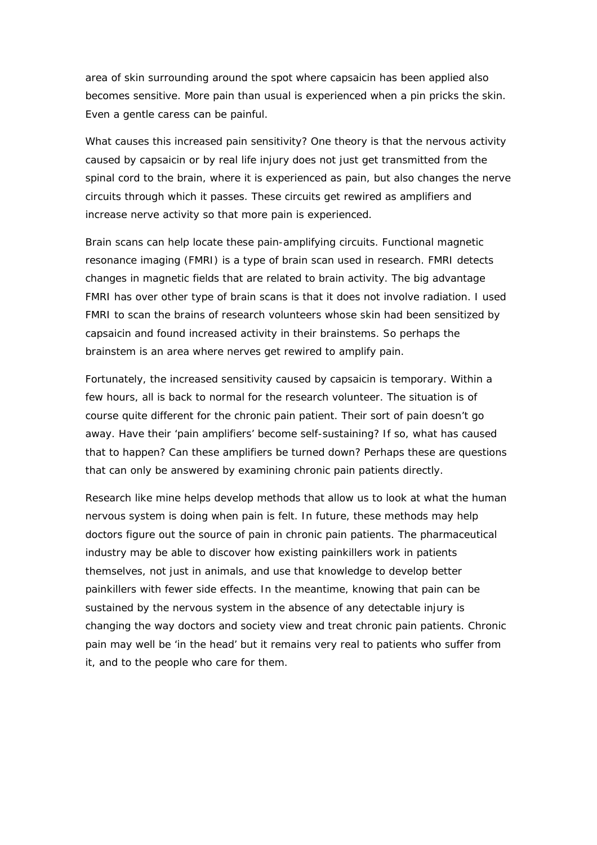area of skin surrounding around the spot where capsaicin has been applied also becomes sensitive. More pain than usual is experienced when a pin pricks the skin. Even a gentle caress can be painful.

What causes this increased pain sensitivity? One theory is that the nervous activity caused by capsaicin or by real life injury does not just get transmitted from the spinal cord to the brain, where it is experienced as pain, but also changes the nerve circuits through which it passes. These circuits get rewired as amplifiers and increase nerve activity so that more pain is experienced.

Brain scans can help locate these pain-amplifying circuits. Functional magnetic resonance imaging (FMRI) is a type of brain scan used in research. FMRI detects changes in magnetic fields that are related to brain activity. The big advantage FMRI has over other type of brain scans is that it does not involve radiation. I used FMRI to scan the brains of research volunteers whose skin had been sensitized by capsaicin and found increased activity in their brainstems. So perhaps the brainstem is an area where nerves get rewired to amplify pain.

Fortunately, the increased sensitivity caused by capsaicin is temporary. Within a few hours, all is back to normal for the research volunteer. The situation is of course quite different for the chronic pain patient. Their sort of pain doesn't go away. Have their 'pain amplifiers' become self-sustaining? If so, what has caused that to happen? Can these amplifiers be turned down? Perhaps these are questions that can only be answered by examining chronic pain patients directly.

Research like mine helps develop methods that allow us to look at what the human nervous system is doing when pain is felt. In future, these methods may help doctors figure out the source of pain in chronic pain patients. The pharmaceutical industry may be able to discover how existing painkillers work in patients themselves, not just in animals, and use that knowledge to develop better painkillers with fewer side effects. In the meantime, knowing that pain can be sustained by the nervous system in the absence of any detectable injury is changing the way doctors and society view and treat chronic pain patients. Chronic pain may well be 'in the head' but it remains very real to patients who suffer from it, and to the people who care for them.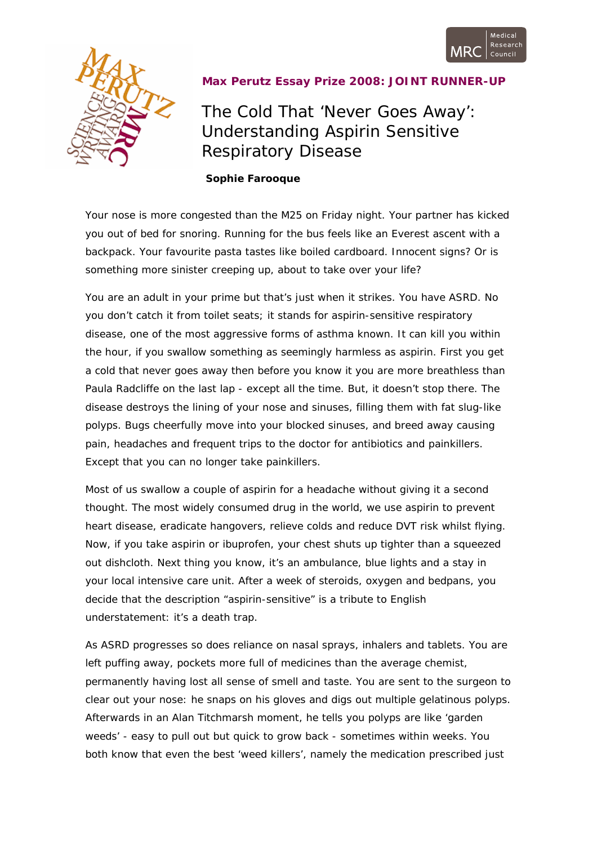



## **Max Perutz Essay Prize 2008: JOINT RUNNER-UP**

## The Cold That 'Never Goes Away': Understanding Aspirin Sensitive Respiratory Disease

#### **Sophie Farooque**

Your nose is more congested than the M25 on Friday night. Your partner has kicked you out of bed for snoring. Running for the bus feels like an Everest ascent with a backpack. Your favourite pasta tastes like boiled cardboard. Innocent signs? Or is something more sinister creeping up, about to take over your life?

You are an adult in your prime but that's just when it strikes. You have ASRD. No you don't catch it from toilet seats; it stands for aspirin-sensitive respiratory disease, one of the most aggressive forms of asthma known. It can kill you within the hour, if you swallow something as seemingly harmless as aspirin. First you get a cold that never goes away then before you know it you are more breathless than Paula Radcliffe on the last lap - except all the time. But, it doesn't stop there. The disease destroys the lining of your nose and sinuses, filling them with fat slug-like polyps. Bugs cheerfully move into your blocked sinuses, and breed away causing pain, headaches and frequent trips to the doctor for antibiotics and painkillers. Except that you can no longer take painkillers.

Most of us swallow a couple of aspirin for a headache without giving it a second thought. The most widely consumed drug in the world, we use aspirin to prevent heart disease, eradicate hangovers, relieve colds and reduce DVT risk whilst flying. Now, if you take aspirin or ibuprofen, your chest shuts up tighter than a squeezed out dishcloth. Next thing you know, it's an ambulance, blue lights and a stay in your local intensive care unit. After a week of steroids, oxygen and bedpans, you decide that the description "aspirin-sensitive" is a tribute to English understatement: it's a death trap.

As ASRD progresses so does reliance on nasal sprays, inhalers and tablets. You are left puffing away, pockets more full of medicines than the average chemist, permanently having lost all sense of smell and taste. You are sent to the surgeon to clear out your nose: he snaps on his gloves and digs out multiple gelatinous polyps. Afterwards in an Alan Titchmarsh moment, he tells you polyps are like 'garden weeds' - easy to pull out but quick to grow back - sometimes within weeks. You both know that even the best 'weed killers', namely the medication prescribed just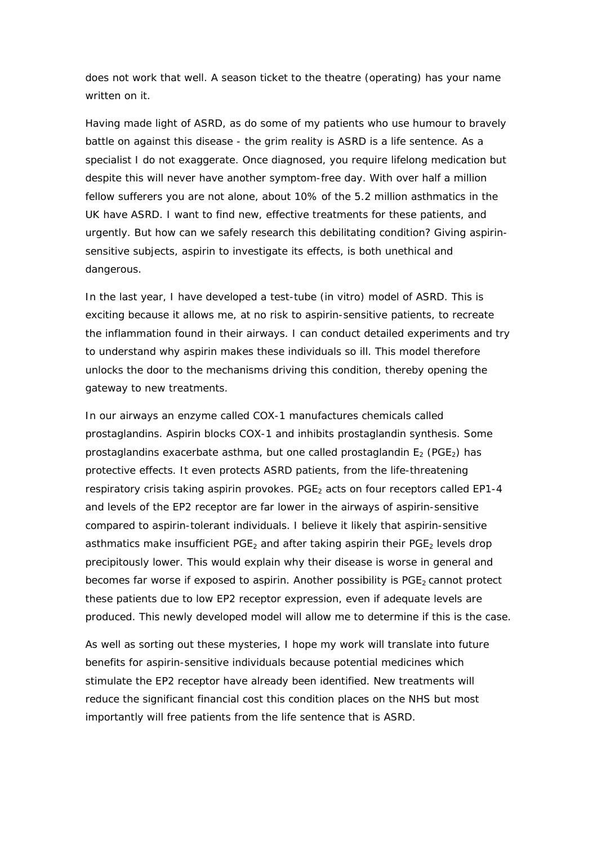does not work that well. A season ticket to the theatre (operating) has your name written on it.

Having made light of ASRD, as do some of my patients who use humour to bravely battle on against this disease - the grim reality is ASRD is a life sentence. As a specialist I do not exaggerate. Once diagnosed, you require lifelong medication but despite this will never have another symptom-free day. With over half a million fellow sufferers you are not alone, about 10% of the 5.2 million asthmatics in the UK have ASRD. I want to find new, effective treatments for these patients, and urgently. But how can we safely research this debilitating condition? Giving aspirinsensitive subjects, aspirin to investigate its effects, is both unethical and dangerous.

In the last year, I have developed a test-tube (in vitro) model of ASRD. This is exciting because it allows me, at no risk to aspirin-sensitive patients, to recreate the inflammation found in their airways. I can conduct detailed experiments and try to understand why aspirin makes these individuals so ill. This model therefore unlocks the door to the mechanisms driving this condition, thereby opening the gateway to new treatments.

In our airways an enzyme called COX-1 manufactures chemicals called prostaglandins. Aspirin blocks COX-1 and inhibits prostaglandin synthesis. Some prostaglandins exacerbate asthma, but one called prostaglandin  $E_2$  (PGE<sub>2</sub>) has protective effects. It even protects ASRD patients, from the life-threatening respiratory crisis taking aspirin provokes. PGE<sub>2</sub> acts on four receptors called EP1-4 and levels of the EP2 receptor are far lower in the airways of aspirin-sensitive compared to aspirin-tolerant individuals. I believe it likely that aspirin-sensitive asthmatics make insufficient PGE<sub>2</sub> and after taking aspirin their PGE<sub>2</sub> levels drop precipitously lower. This would explain why their disease is worse in general and becomes far worse if exposed to aspirin. Another possibility is  $PGE<sub>2</sub>$  cannot protect these patients due to low EP2 receptor expression, even if adequate levels are produced. This newly developed model will allow me to determine if this is the case.

As well as sorting out these mysteries, I hope my work will translate into future benefits for aspirin-sensitive individuals because potential medicines which stimulate the EP2 receptor have already been identified. New treatments will reduce the significant financial cost this condition places on the NHS but most importantly will free patients from the life sentence that is ASRD.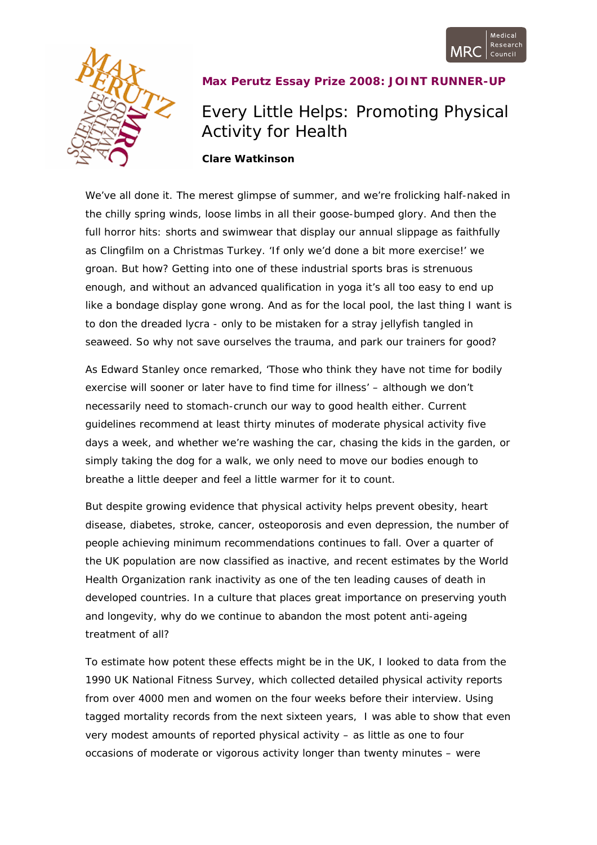



### **Max Perutz Essay Prize 2008: JOINT RUNNER-UP**

## Every Little Helps: Promoting Physical Activity for Health

#### **Clare Watkinson**

We've all done it. The merest glimpse of summer, and we're frolicking half-naked in the chilly spring winds, loose limbs in all their goose-bumped glory. And then the full horror hits: shorts and swimwear that display our annual slippage as faithfully as Clingfilm on a Christmas Turkey. 'If only we'd done a bit more exercise!' we groan. But how? Getting into one of these industrial sports bras is strenuous enough, and without an advanced qualification in yoga it's all too easy to end up like a bondage display gone wrong. And as for the local pool, the last thing I want is to don the dreaded lycra - only to be mistaken for a stray jellyfish tangled in seaweed. So why not save ourselves the trauma, and park our trainers for good?

As Edward Stanley once remarked, 'Those who think they have not time for bodily exercise will sooner or later have to find time for illness' – although we don't necessarily need to stomach-crunch our way to good health either. Current guidelines recommend at least thirty minutes of moderate physical activity five days a week, and whether we're washing the car, chasing the kids in the garden, or simply taking the dog for a walk, we only need to move our bodies enough to breathe a little deeper and feel a little warmer for it to count.

But despite growing evidence that physical activity helps prevent obesity, heart disease, diabetes, stroke, cancer, osteoporosis and even depression, the number of people achieving minimum recommendations continues to fall. Over a quarter of the UK population are now classified as inactive, and recent estimates by the World Health Organization rank inactivity as one of the ten leading causes of death in developed countries. In a culture that places great importance on preserving youth and longevity, why do we continue to abandon the most potent anti-ageing treatment of all?

To estimate how potent these effects might be in the UK, I looked to data from the 1990 UK National Fitness Survey, which collected detailed physical activity reports from over 4000 men and women on the four weeks before their interview. Using tagged mortality records from the next sixteen years, I was able to show that even very modest amounts of reported physical activity – as little as one to four occasions of moderate or vigorous activity longer than twenty minutes – were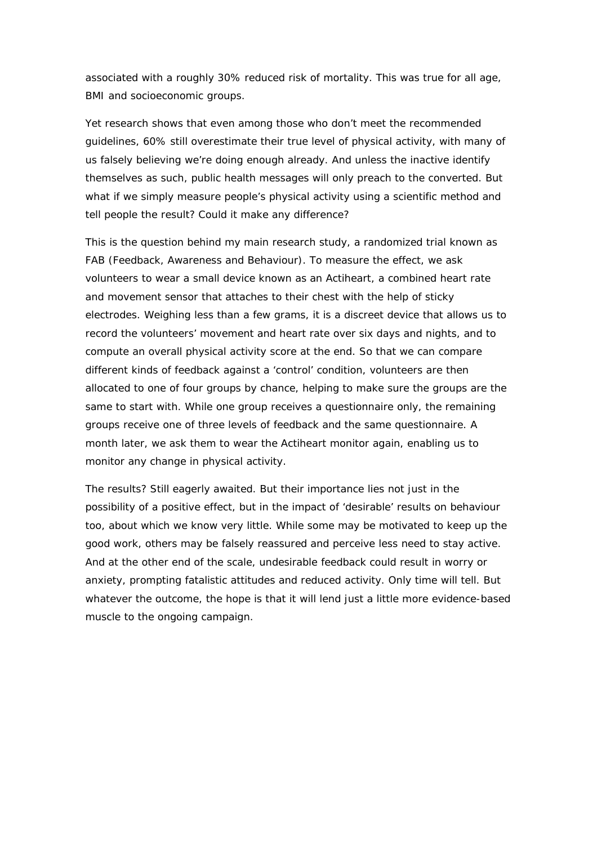associated with a roughly 30% reduced risk of mortality. This was true for all age, BMI and socioeconomic groups.

Yet research shows that even among those who don't meet the recommended guidelines, 60% still overestimate their true level of physical activity, with many of us falsely believing we're doing enough already. And unless the inactive identify themselves as such, public health messages will only preach to the converted. But what if we simply measure people's physical activity using a scientific method and tell people the result? Could it make any difference?

This is the question behind my main research study, a randomized trial known as FAB (Feedback, Awareness and Behaviour). To measure the effect, we ask volunteers to wear a small device known as an Actiheart, a combined heart rate and movement sensor that attaches to their chest with the help of sticky electrodes. Weighing less than a few grams, it is a discreet device that allows us to record the volunteers' movement and heart rate over six days and nights, and to compute an overall physical activity score at the end. So that we can compare different kinds of feedback against a 'control' condition, volunteers are then allocated to one of four groups by chance, helping to make sure the groups are the same to start with. While one group receives a questionnaire only, the remaining groups receive one of three levels of feedback and the same questionnaire. A month later, we ask them to wear the Actiheart monitor again, enabling us to monitor any change in physical activity.

The results? Still eagerly awaited. But their importance lies not just in the possibility of a positive effect, but in the impact of 'desirable' results on behaviour too, about which we know very little. While some may be motivated to keep up the good work, others may be falsely reassured and perceive less need to stay active. And at the other end of the scale, undesirable feedback could result in worry or anxiety, prompting fatalistic attitudes and reduced activity. Only time will tell. But whatever the outcome, the hope is that it will lend just a little more evidence-based muscle to the ongoing campaign.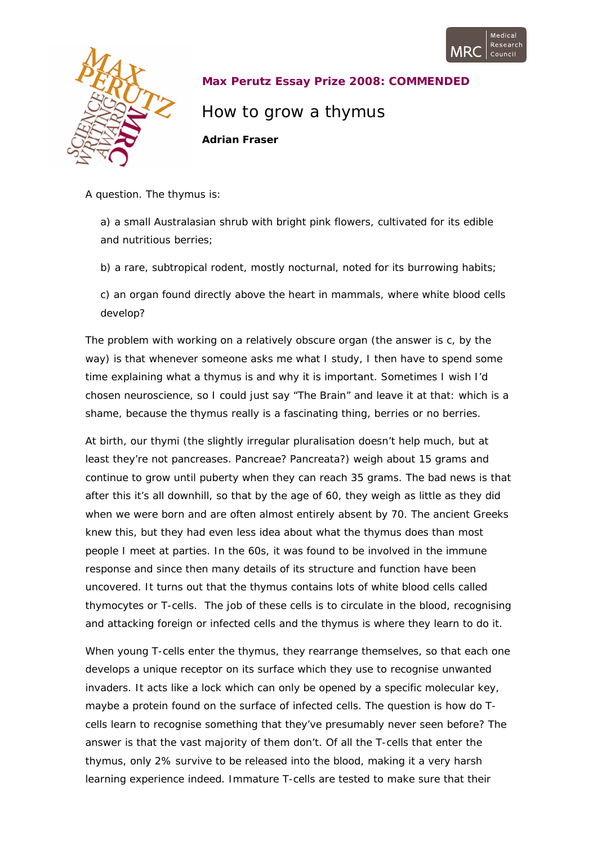



# **Max Perutz Essay Prize 2008: COMMENDED**  How to grow a thymus

**Adrian Fraser** 

A question. The thymus is:

a) a small Australasian shrub with bright pink flowers, cultivated for its edible and nutritious berries;

b) a rare, subtropical rodent, mostly nocturnal, noted for its burrowing habits;

c) an organ found directly above the heart in mammals, where white blood cells develop?

The problem with working on a relatively obscure organ (the answer is c, by the way) is that whenever someone asks me what I study, I then have to spend some time explaining what a thymus is and why it is important. Sometimes I wish I'd chosen neuroscience, so I could just say "The Brain" and leave it at that: which is a shame, because the thymus really is a fascinating thing, berries or no berries.

At birth, our thymi (the slightly irregular pluralisation doesn't help much, but at least they're not pancreases. Pancreae? Pancreata?) weigh about 15 grams and continue to grow until puberty when they can reach 35 grams. The bad news is that after this it's all downhill, so that by the age of 60, they weigh as little as they did when we were born and are often almost entirely absent by 70. The ancient Greeks knew this, but they had even less idea about what the thymus does than most people I meet at parties. In the 60s, it was found to be involved in the immune response and since then many details of its structure and function have been uncovered. It turns out that the thymus contains lots of white blood cells called thymocytes or T-cells. The job of these cells is to circulate in the blood, recognising and attacking foreign or infected cells and the thymus is where they learn to do it.

When young T-cells enter the thymus, they rearrange themselves, so that each one develops a unique receptor on its surface which they use to recognise unwanted invaders. It acts like a lock which can only be opened by a specific molecular key, maybe a protein found on the surface of infected cells. The question is how do Tcells learn to recognise something that they've presumably never seen before? The answer is that the vast majority of them don't. Of all the T-cells that enter the thymus, only 2% survive to be released into the blood, making it a very harsh learning experience indeed. Immature T-cells are tested to make sure that their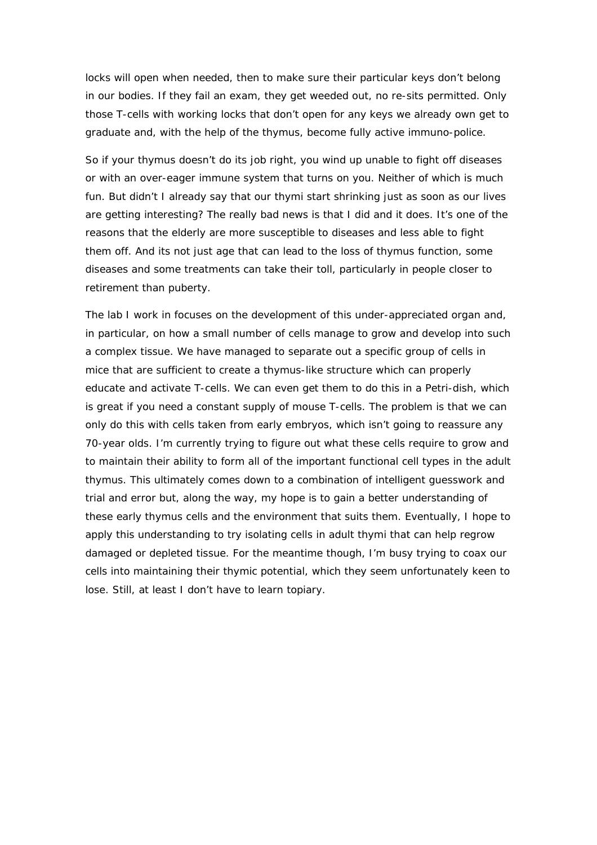locks will open when needed, then to make sure their particular keys don't belong in our bodies. If they fail an exam, they get weeded out, no re-sits permitted. Only those T-cells with working locks that don't open for any keys we already own get to graduate and, with the help of the thymus, become fully active immuno-police.

So if your thymus doesn't do its job right, you wind up unable to fight off diseases or with an over-eager immune system that turns on you. Neither of which is much fun. But didn't I already say that our thymi start shrinking just as soon as our lives are getting interesting? The *really* bad news is that I did and it does. It's one of the reasons that the elderly are more susceptible to diseases and less able to fight them off. And its not just age that can lead to the loss of thymus function, some diseases and some treatments can take their toll, particularly in people closer to retirement than puberty.

The lab I work in focuses on the development of this under-appreciated organ and, in particular, on how a small number of cells manage to grow and develop into such a complex tissue. We have managed to separate out a specific group of cells in mice that are sufficient to create a thymus-like structure which can properly educate and activate T-cells. We can even get them to do this in a Petri-dish, which is great if you need a constant supply of mouse T-cells. The problem is that we can only do this with cells taken from early embryos, which isn't going to reassure any 70-year olds. I'm currently trying to figure out what these cells require to grow and to maintain their ability to form all of the important functional cell types in the adult thymus. This ultimately comes down to a combination of intelligent guesswork and trial and error but, along the way, my hope is to gain a better understanding of these early thymus cells and the environment that suits them. Eventually, I hope to apply this understanding to try isolating cells in adult thymi that can help regrow damaged or depleted tissue. For the meantime though, I'm busy trying to coax our cells into maintaining their thymic potential, which they seem unfortunately keen to lose. Still, at least I don't have to learn topiary.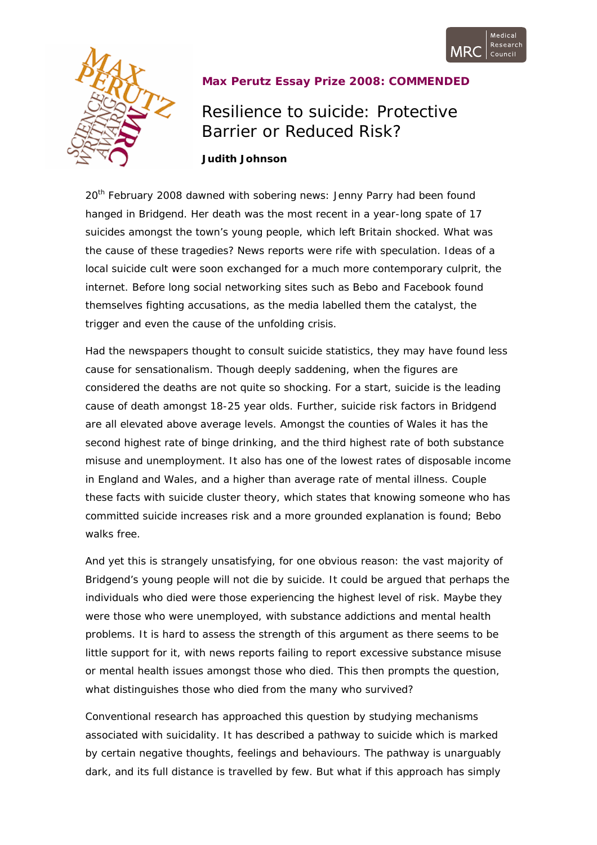



## **Max Perutz Essay Prize 2008: COMMENDED**

# Resilience to suicide: Protective Barrier or Reduced Risk?

### **Judith Johnson**

20<sup>th</sup> February 2008 dawned with sobering news: Jenny Parry had been found hanged in Bridgend. Her death was the most recent in a year-long spate of 17 suicides amongst the town's young people, which left Britain shocked. What was the cause of these tragedies? News reports were rife with speculation. Ideas of a local suicide cult were soon exchanged for a much more contemporary culprit, the internet. Before long social networking sites such as Bebo and Facebook found themselves fighting accusations, as the media labelled them the catalyst, the trigger and even the cause of the unfolding crisis.

Had the newspapers thought to consult suicide statistics, they may have found less cause for sensationalism. Though deeply saddening, when the figures are considered the deaths are not quite so shocking. For a start, suicide is the leading cause of death amongst 18-25 year olds. Further, suicide risk factors in Bridgend are all elevated above average levels. Amongst the counties of Wales it has the second highest rate of binge drinking, and the third highest rate of both substance misuse and unemployment. It also has one of the lowest rates of disposable income in England and Wales, and a higher than average rate of mental illness. Couple these facts with suicide cluster theory, which states that knowing someone who has committed suicide increases risk and a more grounded explanation is found; Bebo walks free.

And yet this is strangely unsatisfying, for one obvious reason: the vast majority of Bridgend's young people will not die by suicide. It could be argued that perhaps the individuals who died were those experiencing the highest level of risk. Maybe they were those who were unemployed, with substance addictions and mental health problems. It is hard to assess the strength of this argument as there seems to be little support for it, with news reports failing to report excessive substance misuse or mental health issues amongst those who died. This then prompts the question, what distinguishes those who died from the many who survived?

Conventional research has approached this question by studying mechanisms associated with suicidality. It has described a pathway to suicide which is marked by certain negative thoughts, feelings and behaviours. The pathway is unarguably dark, and its full distance is travelled by few. But what if this approach has simply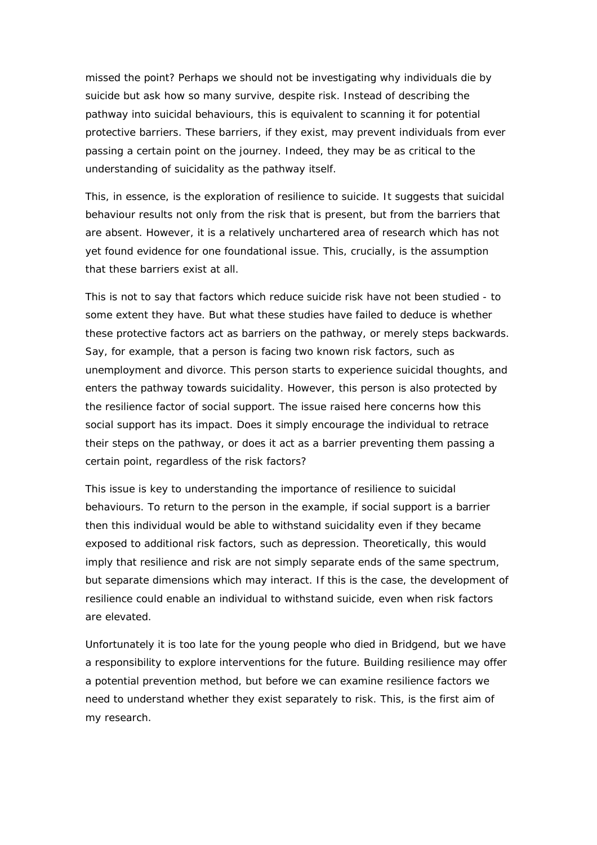missed the point? Perhaps we should not be investigating why individuals die by suicide but ask how so many survive, despite risk. Instead of describing the pathway into suicidal behaviours, this is equivalent to scanning it for potential protective barriers. These barriers, if they exist, may prevent individuals from ever passing a certain point on the journey. Indeed, they may be as critical to the understanding of suicidality as the pathway itself.

This, in essence, is the exploration of resilience to suicide. It suggests that suicidal behaviour results not only from the risk that is present, but from the barriers that are absent. However, it is a relatively unchartered area of research which has not yet found evidence for one foundational issue. This, crucially, is the assumption that these barriers exist at all.

This is not to say that factors which reduce suicide risk have not been studied - to some extent they have. But what these studies have failed to deduce is whether these protective factors act as barriers on the pathway, or merely steps backwards. Say, for example, that a person is facing two known risk factors, such as unemployment and divorce. This person starts to experience suicidal thoughts, and enters the pathway towards suicidality. However, this person is also protected by the resilience factor of social support. The issue raised here concerns *how* this social support has its impact. Does it simply encourage the individual to retrace their steps on the pathway, or does it act as a barrier preventing them passing a certain point, regardless of the risk factors?

This issue is key to understanding the importance of resilience to suicidal behaviours. To return to the person in the example, if social support is a barrier then this individual would be able to withstand suicidality even if they became exposed to additional risk factors, such as depression. Theoretically, this would imply that resilience and risk are not simply separate ends of the same spectrum, but separate dimensions which may interact. If this is the case, the development of resilience could enable an individual to withstand suicide, even when risk factors are elevated.

Unfortunately it is too late for the young people who died in Bridgend, but we have a responsibility to explore interventions for the future. Building resilience may offer a potential prevention method, but before we can examine resilience factors we need to understand whether they exist separately to risk. This, is the first aim of my research.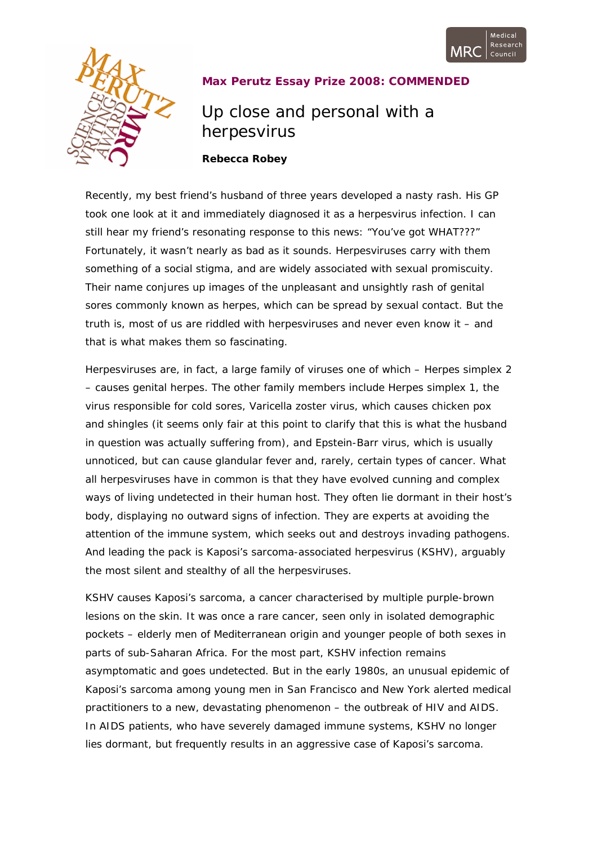



### **Max Perutz Essay Prize 2008: COMMENDED**

# Up close and personal with a herpesvirus

**Rebecca Robey** 

Recently, my best friend's husband of three years developed a nasty rash. His GP took one look at it and immediately diagnosed it as a herpesvirus infection. I can still hear my friend's resonating response to this news: "You've got WHAT???" Fortunately, it wasn't nearly as bad as it sounds. Herpesviruses carry with them something of a social stigma, and are widely associated with sexual promiscuity. Their name conjures up images of the unpleasant and unsightly rash of genital sores commonly known as herpes, which can be spread by sexual contact. But the truth is, most of us are riddled with herpesviruses and never even know it – and that is what makes them so fascinating.

Herpesviruses are, in fact, a large family of viruses one of which – Herpes simplex 2 – causes genital herpes. The other family members include Herpes simplex 1, the virus responsible for cold sores, Varicella zoster virus, which causes chicken pox and shingles (it seems only fair at this point to clarify that this is what the husband in question was actually suffering from), and Epstein-Barr virus, which is usually unnoticed, but can cause glandular fever and, rarely, certain types of cancer. What all herpesviruses have in common is that they have evolved cunning and complex ways of living undetected in their human host. They often lie dormant in their host's body, displaying no outward signs of infection. They are experts at avoiding the attention of the immune system, which seeks out and destroys invading pathogens. And leading the pack is Kaposi's sarcoma-associated herpesvirus (KSHV), arguably the most silent and stealthy of all the herpesviruses.

KSHV causes Kaposi's sarcoma, a cancer characterised by multiple purple-brown lesions on the skin. It was once a rare cancer, seen only in isolated demographic pockets – elderly men of Mediterranean origin and younger people of both sexes in parts of sub-Saharan Africa. For the most part, KSHV infection remains asymptomatic and goes undetected. But in the early 1980s, an unusual epidemic of Kaposi's sarcoma among young men in San Francisco and New York alerted medical practitioners to a new, devastating phenomenon – the outbreak of HIV and AIDS. In AIDS patients, who have severely damaged immune systems, KSHV no longer lies dormant, but frequently results in an aggressive case of Kaposi's sarcoma.